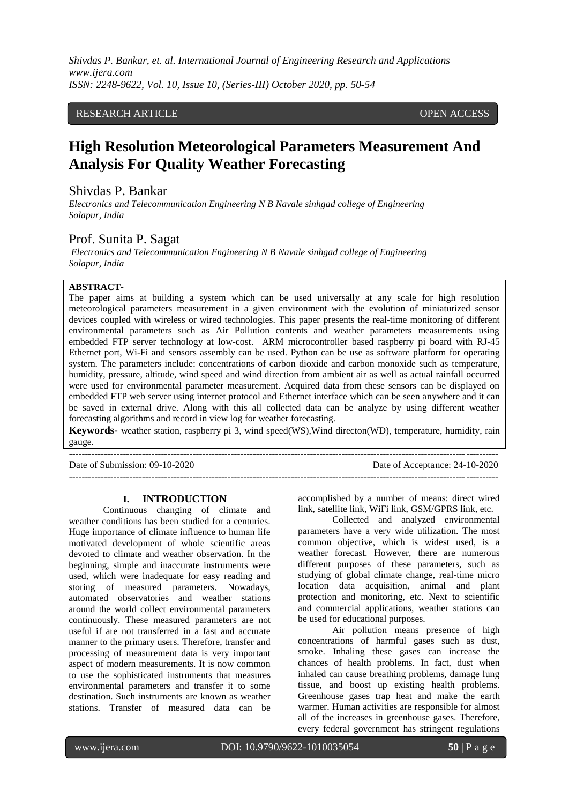*Shivdas P. Bankar, et. al. International Journal of Engineering Research and Applications www.ijera.com ISSN: 2248-9622, Vol. 10, Issue 10, (Series-III) October 2020, pp. 50-54*

## RESEARCH ARTICLE **CONTRACT ARTICLE** AND CONTRACT OPEN ACCESS

# **High Resolution Meteorological Parameters Measurement And Analysis For Quality Weather Forecasting**

## Shivdas P. Bankar

*Electronics and Telecommunication Engineering N B Navale sinhgad college of Engineering Solapur, India*

## Prof. Sunita P. Sagat

*Electronics and Telecommunication Engineering N B Navale sinhgad college of Engineering Solapur, India*

#### **ABSTRACT-**

The paper aims at building a system which can be used universally at any scale for high resolution meteorological parameters measurement in a given environment with the evolution of miniaturized sensor devices coupled with wireless or wired technologies. This paper presents the real-time monitoring of different environmental parameters such as Air Pollution contents and weather parameters measurements using embedded FTP server technology at low-cost. ARM microcontroller based raspberry pi board with RJ-45 Ethernet port, Wi-Fi and sensors assembly can be used. Python can be use as software platform for operating system. The parameters include: concentrations of carbon dioxide and carbon monoxide such as temperature, humidity, pressure, altitude, wind speed and wind direction from ambient air as well as actual rainfall occurred were used for environmental parameter measurement. Acquired data from these sensors can be displayed on embedded FTP web server using internet protocol and Ethernet interface which can be seen anywhere and it can be saved in external drive. Along with this all collected data can be analyze by using different weather forecasting algorithms and record in view log for weather forecasting.

**Keywords-** weather station, raspberry pi 3, wind speed(WS),Wind directon(WD), temperature, humidity, rain gauge.

Date of Submission: 09-10-2020 Date of Acceptance: 24-10-2020

|    | <b>INTRODUCTION</b> |
|----|---------------------|
| ٠. |                     |

---------------------------------------------------------------------------------------------------------------------------------------

Continuous changing of climate and weather conditions has been studied for a centuries. Huge importance of climate influence to human life motivated development of whole scientific areas devoted to climate and weather observation. In the beginning, simple and inaccurate instruments were used, which were inadequate for easy reading and storing of measured parameters. Nowadays, automated observatories and weather stations around the world collect environmental parameters continuously. These measured parameters are not useful if are not transferred in a fast and accurate manner to the primary users. Therefore, transfer and processing of measurement data is very important aspect of modern measurements. It is now common to use the sophisticated instruments that measures environmental parameters and transfer it to some destination. Such instruments are known as weather stations. Transfer of measured data can be

accomplished by a number of means: direct wired link, satellite link, WiFi link, GSM/GPRS link, etc.

---------------------------------------------------------------------------------------------------------------------------------------

Collected and analyzed environmental parameters have a very wide utilization. The most common objective, which is widest used, is a weather forecast. However, there are numerous different purposes of these parameters, such as studying of global climate change, real-time micro location data acquisition, animal and plant protection and monitoring, etc. Next to scientific and commercial applications, weather stations can be used for educational purposes.

Air pollution means presence of high concentrations of harmful gases such as dust, smoke. Inhaling these gases can increase the chances of health problems. In fact, dust when inhaled can cause breathing problems, damage lung tissue, and boost up existing health problems. Greenhouse gases trap heat and make the earth warmer. Human activities are responsible for almost all of the increases in greenhouse gases. Therefore, every federal government has stringent regulations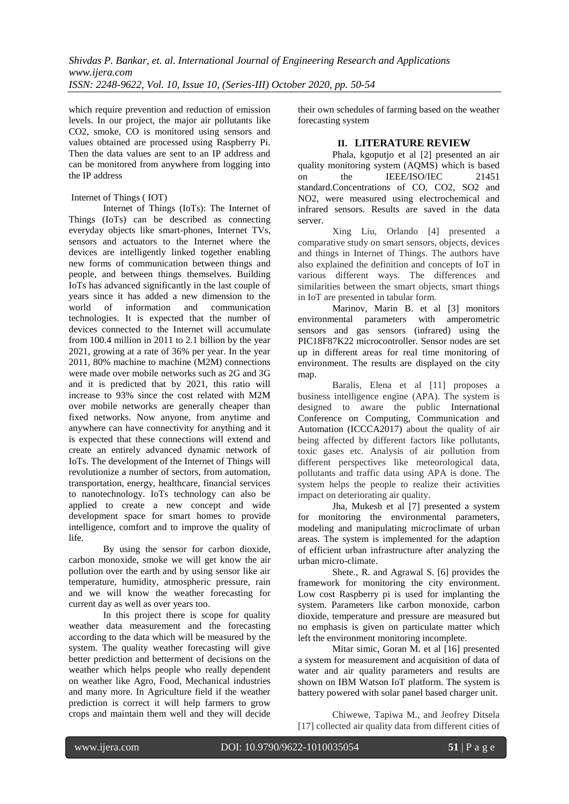which require prevention and reduction of emission levels. In our project, the major air pollutants like CO2, smoke, CO is monitored using sensors and values obtained are processed using Raspberry Pi. Then the data values are sent to an IP address and can be monitored from anywhere from logging into the IP address

### Internet of Things ( IOT)

Internet of Things (IoTs): The Internet of Things (IoTs) can be described as connecting everyday objects like smart-phones, Internet TVs, sensors and actuators to the Internet where the devices are intelligently linked together enabling new forms of communication between things and people, and between things themselves. Building IoTs has advanced significantly in the last couple of years since it has added a new dimension to the world of information and communication technologies. It is expected that the number of devices connected to the Internet will accumulate from 100.4 million in 2011 to 2.1 billion by the year 2021, growing at a rate of 36% per year. In the year 2011, 80% machine to machine (M2M) connections were made over mobile networks such as 2G and 3G and it is predicted that by 2021, this ratio will increase to 93% since the cost related with M2M over mobile networks are generally cheaper than fixed networks. Now anyone, from anytime and anywhere can have connectivity for anything and it is expected that these connections will extend and create an entirely advanced dynamic network of IoTs. The development of the Internet of Things will revolutionize a number of sectors, from automation, transportation, energy, healthcare, financial services to nanotechnology. IoTs technology can also be applied to create a new concept and wide development space for smart homes to provide intelligence, comfort and to improve the quality of life.

By using the sensor for carbon dioxide, carbon monoxide, smoke we will get know the air pollution over the earth and by using sensor like air temperature, humidity, atmospheric pressure, rain and we will know the weather forecasting for current day as well as over years too.

In this project there is scope for quality weather data measurement and the forecasting according to the data which will be measured by the system. The quality weather forecasting will give better prediction and betterment of decisions on the weather which helps people who really dependent on weather like Agro, Food, Mechanical industries and many more. In Agriculture field if the weather prediction is correct it will help farmers to grow crops and maintain them well and they will decide

their own schedules of farming based on the weather forecasting system

## **II. LITERATURE REVIEW**

Phala, kgoputjo et al [2] presented an air quality monitoring system (AQMS) which is based on the IEEE/ISO/IEC 21451 standard.Concentrations of CO, CO2, SO2 and NO2, were measured using electrochemical and infrared sensors. Results are saved in the data server.

Xing Liu, Orlando [4] presented a comparative study on smart sensors, objects, devices and things in Internet of Things. The authors have also explained the definition and concepts of IoT in various different ways. The differences and similarities between the smart objects, smart things in IoT are presented in tabular form.

Marinov, Marin B. et al [3] monitors environmental parameters with amperometric sensors and gas sensors (infrared) using the PIC18F87K22 microcontroller. Sensor nodes are set up in different areas for real time monitoring of environment. The results are displayed on the city map.

Baralis, Elena et al [11] proposes a business intelligence engine (APA). The system is designed to aware the public International Conference on Computing, Communication and Automation (ICCCA2017) about the quality of air being affected by different factors like pollutants, toxic gases etc. Analysis of air pollution from different perspectives like meteorological data, pollutants and traffic data using APA is done. The system helps the people to realize their activities impact on deteriorating air quality.

Jha, Mukesh et al [7] presented a system for monitoring the environmental parameters, modeling and manipulating microclimate of urban areas. The system is implemented for the adaption of efficient urban infrastructure after analyzing the urban micro-climate.

Shete., R. and Agrawal S. [6] provides the framework for monitoring the city environment. Low cost Raspberry pi is used for implanting the system. Parameters like carbon monoxide, carbon dioxide, temperature and pressure are measured but no emphasis is given on particulate matter which left the environment monitoring incomplete.

Mitar simic, Goran M. et al [16] presented a system for measurement and acquisition of data of water and air quality parameters and results are shown on IBM Watson IoT platform. The system is battery powered with solar panel based charger unit.

Chiwewe, Tapiwa M., and Jeofrey Ditsela [17] collected air quality data from different cities of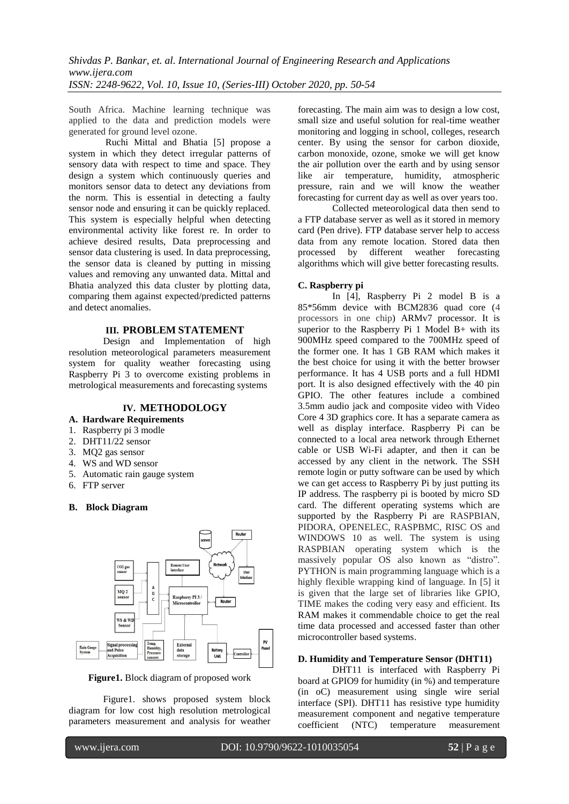South Africa. Machine learning technique was applied to the data and prediction models were generated for ground level ozone.

Ruchi Mittal and Bhatia [5] propose a system in which they detect irregular patterns of sensory data with respect to time and space. They design a system which continuously queries and monitors sensor data to detect any deviations from the norm. This is essential in detecting a faulty sensor node and ensuring it can be quickly replaced. This system is especially helpful when detecting environmental activity like forest re. In order to achieve desired results, Data preprocessing and sensor data clustering is used. In data preprocessing, the sensor data is cleaned by putting in missing values and removing any unwanted data. Mittal and Bhatia analyzed this data cluster by plotting data, comparing them against expected/predicted patterns and detect anomalies.

## **III. PROBLEM STATEMENT**

Design and Implementation of high resolution meteorological parameters measurement system for quality weather forecasting using Raspberry Pi 3 to overcome existing problems in metrological measurements and forecasting systems

#### **IV. METHODOLOGY**

- **A. Hardware Requirements**
- 1. Raspberry pi 3 modle
- 2. DHT11/22 sensor
- 3. MQ2 gas sensor
- 4. WS and WD sensor
- 5. Automatic rain gauge system
- 6. FTP server

#### **B. Block Diagram**



**Figure1.** Block diagram of proposed work

Figure1. shows proposed system block diagram for low cost high resolution metrological parameters measurement and analysis for weather forecasting. The main aim was to design a low cost, small size and useful solution for real-time weather monitoring and logging in school, colleges, research center. By using the sensor for carbon dioxide, carbon monoxide, ozone, smoke we will get know the air pollution over the earth and by using sensor like air temperature, humidity, atmospheric pressure, rain and we will know the weather forecasting for current day as well as over years too.

Collected meteorological data then send to a FTP database server as well as it stored in memory card (Pen drive). FTP database server help to access data from any remote location. Stored data then processed by different weather forecasting algorithms which will give better forecasting results.

#### **C. Raspberry pi**

In [4], Raspberry Pi 2 model B is a 85\*56mm device with BCM2836 quad core (4 processors in one chip) ARMv7 processor. It is superior to the Raspberry Pi 1 Model  $B+$  with its 900MHz speed compared to the 700MHz speed of the former one. It has 1 GB RAM which makes it the best choice for using it with the better browser performance. It has 4 USB ports and a full HDMI port. It is also designed effectively with the 40 pin GPIO. The other features include a combined 3.5mm audio jack and composite video with Video Core 4 3D graphics core. It has a separate camera as well as display interface. Raspberry Pi can be connected to a local area network through Ethernet cable or USB Wi-Fi adapter, and then it can be accessed by any client in the network. The SSH remote login or putty software can be used by which we can get access to Raspberry Pi by just putting its IP address. The raspberry pi is booted by micro SD card. The different operating systems which are supported by the Raspberry Pi are RASPBIAN, PIDORA, OPENELEC, RASPBMC, RISC OS and WINDOWS 10 as well. The system is using RASPBIAN operating system which is the massively popular OS also known as "distro". PYTHON is main programming language which is a highly flexible wrapping kind of language. In [5] it is given that the large set of libraries like GPIO, TIME makes the coding very easy and efficient. Its RAM makes it commendable choice to get the real time data processed and accessed faster than other microcontroller based systems.

#### **D. Humidity and Temperature Sensor (DHT11)**

DHT11 is interfaced with Raspberry Pi board at GPIO9 for humidity (in %) and temperature (in oC) measurement using single wire serial interface (SPI). DHT11 has resistive type humidity measurement component and negative temperature coefficient (NTC) temperature measurement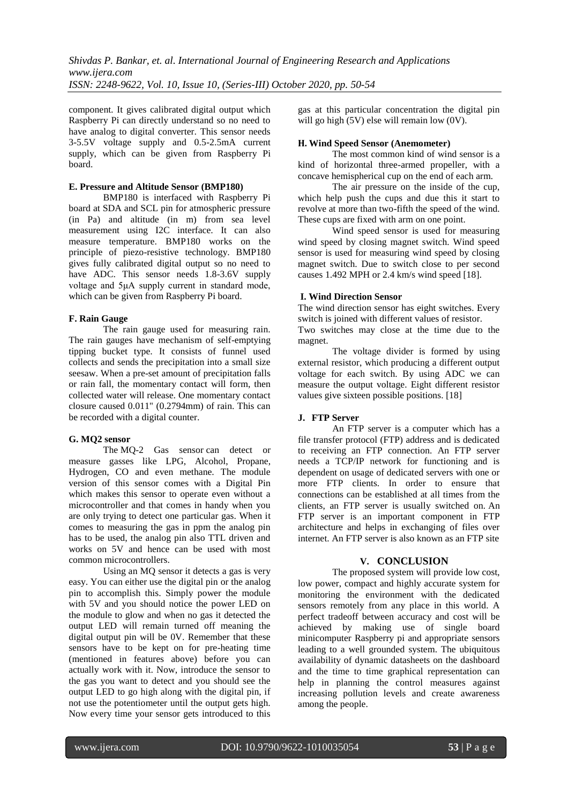component. It gives calibrated digital output which Raspberry Pi can directly understand so no need to have analog to digital converter. This sensor needs 3-5.5V voltage supply and 0.5-2.5mA current supply, which can be given from Raspberry Pi board.

#### **E. Pressure and Altitude Sensor (BMP180)**

BMP180 is interfaced with Raspberry Pi board at SDA and SCL pin for atmospheric pressure (in Pa) and altitude (in m) from sea level measurement using I2C interface. It can also measure temperature. BMP180 works on the principle of piezo-resistive technology. BMP180 gives fully calibrated digital output so no need to have ADC. This sensor needs 1.8-3.6V supply voltage and 5μA supply current in standard mode, which can be given from Raspberry Pi board.

#### **F. Rain Gauge**

The rain gauge used for measuring rain. The rain gauges have mechanism of self-emptying tipping bucket type. It consists of funnel used collects and sends the precipitation into a small size seesaw. When a pre-set amount of precipitation falls or rain fall, the momentary contact will form, then collected water will release. One momentary contact closure caused 0.011" (0.2794mm) of rain. This can be recorded with a digital counter.

#### **G. MQ2 sensor**

The MQ-2 Gas sensor can detect or measure gasses like LPG, Alcohol, Propane, Hydrogen, CO and even methane. The module version of this sensor comes with a Digital Pin which makes this sensor to operate even without a microcontroller and that comes in handy when you are only trying to detect one particular gas. When it comes to measuring the gas in ppm the analog pin has to be used, the analog pin also TTL driven and works on 5V and hence can be used with most common microcontrollers.

Using an MQ sensor it detects a gas is very easy. You can either use the digital pin or the analog pin to accomplish this. Simply power the module with 5V and you should notice the power LED on the module to glow and when no gas it detected the output LED will remain turned off meaning the digital output pin will be 0V. Remember that these sensors have to be kept on for pre-heating time (mentioned in features above) before you can actually work with it. Now, introduce the sensor to the gas you want to detect and you should see the output LED to go high along with the digital pin, if not use the potentiometer until the output gets high. Now every time your sensor gets introduced to this gas at this particular concentration the digital pin will go high (5V) else will remain low (0V).

#### **H. Wind Speed Sensor (Anemometer)**

The most common kind of wind sensor is a kind of horizontal three-armed propeller, with a concave hemispherical cup on the end of each arm.

The air pressure on the inside of the cup, which help push the cups and due this it start to revolve at more than two-fifth the speed of the wind. These cups are fixed with arm on one point.

Wind speed sensor is used for measuring wind speed by closing magnet switch. Wind speed sensor is used for measuring wind speed by closing magnet switch. Due to switch close to per second causes 1.492 MPH or 2.4 km/s wind speed [18].

#### **I. Wind Direction Sensor**

The wind direction sensor has eight switches. Every switch is joined with different values of resistor. Two switches may close at the time due to the

magnet. The voltage divider is formed by using external resistor, which producing a different output voltage for each switch. By using ADC we can measure the output voltage. Eight different resistor values give sixteen possible positions. [18]

#### **J. FTP Server**

An FTP server is a computer which has a file transfer protocol (FTP) address and is dedicated to receiving an FTP connection. An FTP server needs a TCP/IP network for functioning and is dependent on usage of dedicated servers with one or more FTP clients. In order to ensure that connections can be established at all times from the clients, an FTP server is usually switched on. An FTP server is an important component in FTP architecture and helps in exchanging of files over internet. An FTP server is also known as an FTP site

#### **V. CONCLUSION**

The proposed system will provide low cost, low power, compact and highly accurate system for monitoring the environment with the dedicated sensors remotely from any place in this world. A perfect tradeoff between accuracy and cost will be achieved by making use of single board minicomputer Raspberry pi and appropriate sensors leading to a well grounded system. The ubiquitous availability of dynamic datasheets on the dashboard and the time to time graphical representation can help in planning the control measures against increasing pollution levels and create awareness among the people.